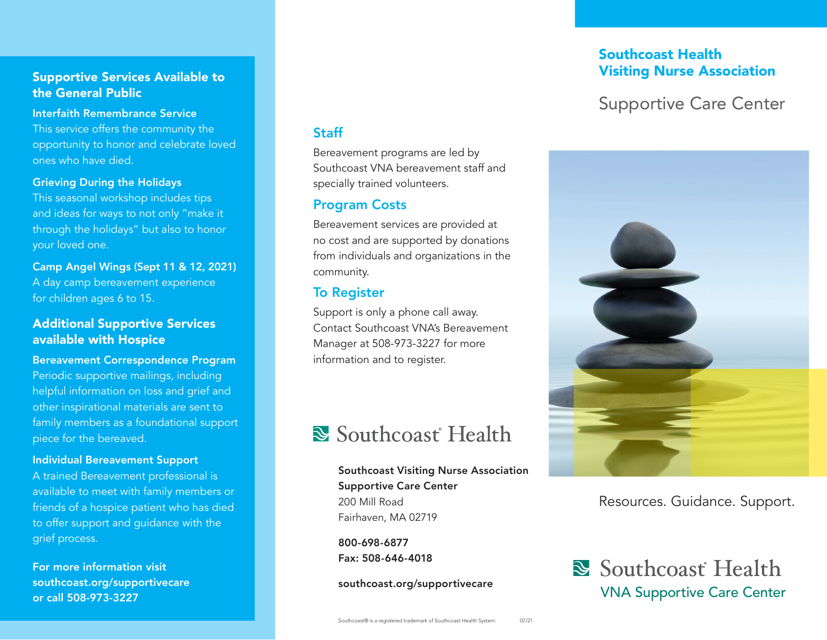### Supportive Services Available to the General Public

#### Interfaith Remembrance Service

This service offers the community the opportunity to honor and celebrate loved ones who have died.

Grieving During the Holidays

This seasonal workshop includes tips and ideas for ways to not only "make it through the holidays" but also to honor your loved one.

Camp Angel Wings (Sept 11 & 12, 2021) A day camp bereavement experience for children ages 6 to 15.

### Additional Supportive Services available with Hospice

Bereavement Correspondence Program Periodic supportive mailings, including helpful information on loss and grief and other inspirational materials are sent to family members as a foundational support piece for the bereaved.

### Individual Bereavement Support

A trained Bereavement professional is available to meet with family members or friends of a hospice patient who has died to offer support and guidance with the grief process.

For more information visit southcoast.org/supportivecare or call 508-973-3227

### **Staff**

Bereavement programs are led by Southcoast VNA bereavement staff and specially trained volunteers.

### Program Costs

Bereavement services are provided at no cost and are supported by donations from individuals and organizations in the community.

### To Register

Support is only a phone call away. Contact Southcoast VNA's Bereavement Manager at 508-973-3227 for more information and to register.

### Southcoast Health

Southcoast Visiting Nurse Association Supportive Care Center 200 Mill Road Fairhaven, MA 02719

800-698-6877 Fax: 508-646-4018

southcoast.org/supportivecare

### Southcoast Health Visiting Nurse Association

### Supportive Care Center



### Resources. Guidance. Support.